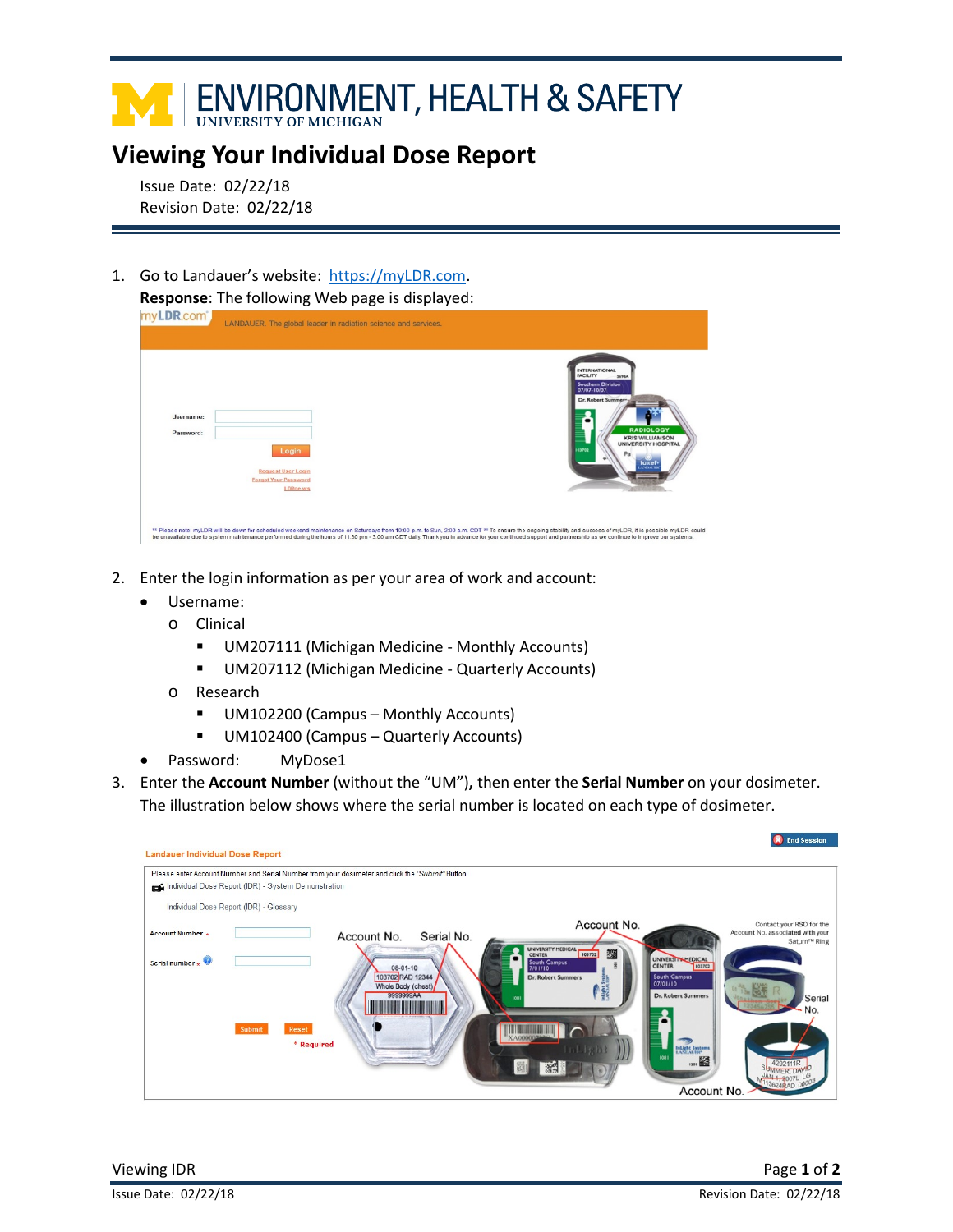## I ENVIRONMENT, HEALTH & SAFETY

## **Viewing Your Individual Dose Report**

Issue Date: 02/22/18 Revision Date: 02/22/18

1. Go to Landauer's website: [https://myLDR.com.](https://myldr.com/) **Response**: The following Web page is displayed:

| myLDR.com <sup>*</sup> | LANDAUER. The global leader in radiation science and services.                |                                                                                                                                                                                                                                          |
|------------------------|-------------------------------------------------------------------------------|------------------------------------------------------------------------------------------------------------------------------------------------------------------------------------------------------------------------------------------|
| Username:<br>Password: | Login<br><b>Request User Login</b><br><b>Forgot Your Password</b><br>LDRne.ws | <b>INTERNATIONAL</b><br><b>FACILITY</b><br><b>S69BA</b><br><b>Southern Division</b><br>07/07-10/07<br>Dr. Robert Summer-<br><b>RADIOLOGY</b><br><b>KRIS WILLIAMSON</b><br><b>UNIVERSITY HOSPITAL</b><br>103702<br>luxel<br><b>AND ME</b> |

- 2. Enter the login information as per your area of work and account:
	- Username:
		- o Clinical
			- UM207111 (Michigan Medicine Monthly Accounts)
			- **UM207112 (Michigan Medicine Quarterly Accounts)**
		- o Research
			- UM102200 (Campus Monthly Accounts)
			- UM102400 (Campus Quarterly Accounts)
	- Password: MyDose1
- 3. Enter the **Account Number** (without the "UM")**,** then enter the **Serial Number** on your dosimeter. The illustration below shows where the serial number is located on each type of dosimeter.

|                                        |                                                                                                  |                                 |            |                                                         |                                                      | <b>X</b> End Session                                         |
|----------------------------------------|--------------------------------------------------------------------------------------------------|---------------------------------|------------|---------------------------------------------------------|------------------------------------------------------|--------------------------------------------------------------|
| <b>Landauer Individual Dose Report</b> |                                                                                                  |                                 |            |                                                         |                                                      |                                                              |
|                                        | Please enter Account Number and Serial Number from your dosimeter and click the "Submit" Button. |                                 |            |                                                         |                                                      |                                                              |
|                                        | Individual Dose Report (IDR) - System Demonstration                                              |                                 |            |                                                         |                                                      |                                                              |
|                                        | Individual Dose Report (IDR) - Glossary                                                          |                                 |            |                                                         |                                                      |                                                              |
| Account Number *                       |                                                                                                  | Account No.                     | Serial No. | Account No.                                             |                                                      | Contact your RSO for the<br>Account No. associated with your |
|                                        |                                                                                                  |                                 |            | UNIVERSITY MEDICAL                                      |                                                      | Saturn™ Ring                                                 |
| Serial number .                        |                                                                                                  | 08-01-10                        |            | 쮍<br>103702<br><b>CENTER</b><br>South Campus<br>7/01/10 | <b>UNIVERSITY MEDICAL</b><br><b>CENTER</b><br>103702 |                                                              |
|                                        |                                                                                                  | 103702 RAD 12344                |            | Dr. Robert Summers                                      | South Campus<br>07/01/10                             |                                                              |
|                                        |                                                                                                  | Whole Body (chest)<br>9999999AA |            |                                                         | <b>Dr. Robert Summers</b>                            | Serial                                                       |
|                                        |                                                                                                  |                                 |            |                                                         |                                                      | No.                                                          |
|                                        | Submit<br>Reset                                                                                  |                                 |            |                                                         |                                                      |                                                              |
|                                        | * Required                                                                                       |                                 |            |                                                         | InLight Systems                                      |                                                              |
|                                        |                                                                                                  |                                 |            |                                                         | 1081<br>1501                                         |                                                              |
|                                        |                                                                                                  |                                 |            |                                                         |                                                      |                                                              |
|                                        |                                                                                                  |                                 |            |                                                         | Account No.                                          |                                                              |